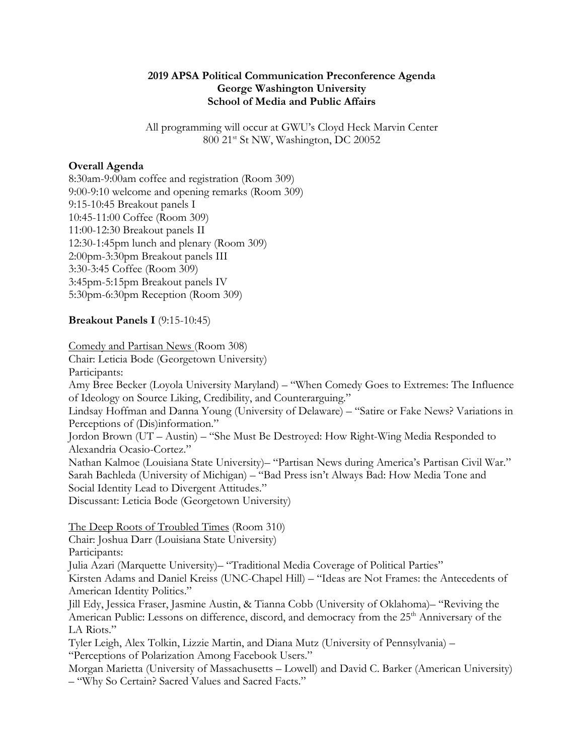#### **2019 APSA Political Communication Preconference Agenda George Washington University School of Media and Public Affairs**

All programming will occur at GWU's Cloyd Heck Marvin Center 800 21st St NW, Washington, DC 20052

#### **Overall Agenda**

8:30am-9:00am coffee and registration (Room 309) 9:00-9:10 welcome and opening remarks (Room 309) 9:15-10:45 Breakout panels I 10:45-11:00 Coffee (Room 309) 11:00-12:30 Breakout panels II 12:30-1:45pm lunch and plenary (Room 309) 2:00pm-3:30pm Breakout panels III 3:30-3:45 Coffee (Room 309) 3:45pm-5:15pm Breakout panels IV 5:30pm-6:30pm Reception (Room 309)

### **Breakout Panels I** (9:15-10:45)

Comedy and Partisan News (Room 308)

Chair: Leticia Bode (Georgetown University) Participants:

Amy Bree Becker (Loyola University Maryland) – "When Comedy Goes to Extremes: The Influence of Ideology on Source Liking, Credibility, and Counterarguing."

Lindsay Hoffman and Danna Young (University of Delaware) – "Satire or Fake News? Variations in Perceptions of (Dis)information."

Jordon Brown (UT – Austin) – "She Must Be Destroyed: How Right-Wing Media Responded to Alexandria Ocasio-Cortez."

Nathan Kalmoe (Louisiana State University)– "Partisan News during America's Partisan Civil War." Sarah Bachleda (University of Michigan) – "Bad Press isn't Always Bad: How Media Tone and Social Identity Lead to Divergent Attitudes."

Discussant: Leticia Bode (Georgetown University)

The Deep Roots of Troubled Times (Room 310) Chair: Joshua Darr (Louisiana State University) Participants: Julia Azari (Marquette University)– "Traditional Media Coverage of Political Parties" Kirsten Adams and Daniel Kreiss (UNC-Chapel Hill) – "Ideas are Not Frames: the Antecedents of American Identity Politics."

Jill Edy, Jessica Fraser, Jasmine Austin, & Tianna Cobb (University of Oklahoma)– "Reviving the American Public: Lessons on difference, discord, and democracy from the 25<sup>th</sup> Anniversary of the LA Riots."

Tyler Leigh, Alex Tolkin, Lizzie Martin, and Diana Mutz (University of Pennsylvania) – "Perceptions of Polarization Among Facebook Users."

Morgan Marietta (University of Massachusetts – Lowell) and David C. Barker (American University) – "Why So Certain? Sacred Values and Sacred Facts."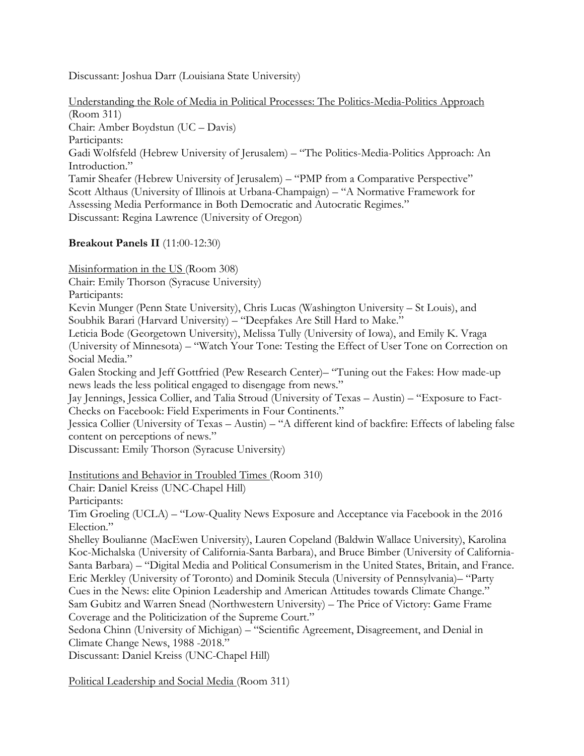Discussant: Joshua Darr (Louisiana State University)

Understanding the Role of Media in Political Processes: The Politics-Media-Politics Approach (Room 311) Chair: Amber Boydstun (UC – Davis) Participants: Gadi Wolfsfeld (Hebrew University of Jerusalem) – "The Politics-Media-Politics Approach: An Introduction." Tamir Sheafer (Hebrew University of Jerusalem) – "PMP from a Comparative Perspective" Scott Althaus (University of Illinois at Urbana-Champaign) – "A Normative Framework for Assessing Media Performance in Both Democratic and Autocratic Regimes." Discussant: Regina Lawrence (University of Oregon)

### **Breakout Panels II** (11:00-12:30)

Misinformation in the US (Room 308)

Chair: Emily Thorson (Syracuse University)

Participants:

Kevin Munger (Penn State University), Chris Lucas (Washington University – St Louis), and Soubhik Barari (Harvard University) – "Deepfakes Are Still Hard to Make."

Leticia Bode (Georgetown University), Melissa Tully (University of Iowa), and Emily K. Vraga (University of Minnesota) – "Watch Your Tone: Testing the Effect of User Tone on Correction on Social Media."

Galen Stocking and Jeff Gottfried (Pew Research Center)– "Tuning out the Fakes: How made-up news leads the less political engaged to disengage from news."

Jay Jennings, Jessica Collier, and Talia Stroud (University of Texas – Austin) – "Exposure to Fact-Checks on Facebook: Field Experiments in Four Continents."

Jessica Collier (University of Texas – Austin) – "A different kind of backfire: Effects of labeling false content on perceptions of news."

Discussant: Emily Thorson (Syracuse University)

Institutions and Behavior in Troubled Times (Room 310)

Chair: Daniel Kreiss (UNC-Chapel Hill)

Participants:

Tim Groeling (UCLA) – "Low-Quality News Exposure and Acceptance via Facebook in the 2016 Election."

Shelley Boulianne (MacEwen University), Lauren Copeland (Baldwin Wallace University), Karolina Koc-Michalska (University of California-Santa Barbara), and Bruce Bimber (University of California-Santa Barbara) – "Digital Media and Political Consumerism in the United States, Britain, and France. Eric Merkley (University of Toronto) and Dominik Stecula (University of Pennsylvania)– "Party Cues in the News: elite Opinion Leadership and American Attitudes towards Climate Change." Sam Gubitz and Warren Snead (Northwestern University) – The Price of Victory: Game Frame Coverage and the Politicization of the Supreme Court."

Sedona Chinn (University of Michigan) – "Scientific Agreement, Disagreement, and Denial in Climate Change News, 1988 -2018."

Discussant: Daniel Kreiss (UNC-Chapel Hill)

Political Leadership and Social Media (Room 311)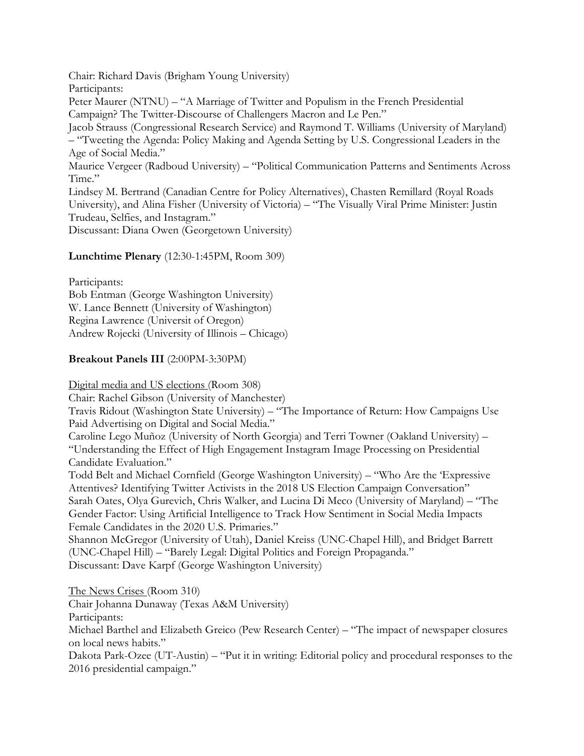Chair: Richard Davis (Brigham Young University) Participants: Peter Maurer (NTNU) – "A Marriage of Twitter and Populism in the French Presidential Campaign? The Twitter-Discourse of Challengers Macron and Le Pen." Jacob Strauss (Congressional Research Service) and Raymond T. Williams (University of Maryland) – "Tweeting the Agenda: Policy Making and Agenda Setting by U.S. Congressional Leaders in the Age of Social Media." Maurice Vergeer (Radboud University) – "Political Communication Patterns and Sentiments Across Time." Lindsey M. Bertrand (Canadian Centre for Policy Alternatives), Chasten Remillard (Royal Roads University), and Alina Fisher (University of Victoria) – "The Visually Viral Prime Minister: Justin Trudeau, Selfies, and Instagram." Discussant: Diana Owen (Georgetown University)

### **Lunchtime Plenary** (12:30-1:45PM, Room 309)

Participants:

Bob Entman (George Washington University) W. Lance Bennett (University of Washington) Regina Lawrence (Universit of Oregon) Andrew Rojecki (University of Illinois – Chicago)

# **Breakout Panels III** (2:00PM-3:30PM)

Digital media and US elections (Room 308)

Chair: Rachel Gibson (University of Manchester)

Travis Ridout (Washington State University) – "The Importance of Return: How Campaigns Use Paid Advertising on Digital and Social Media."

Caroline Lego Muñoz (University of North Georgia) and Terri Towner (Oakland University) – "Understanding the Effect of High Engagement Instagram Image Processing on Presidential Candidate Evaluation."

Todd Belt and Michael Cornfield (George Washington University) – "Who Are the 'Expressive Attentives? Identifying Twitter Activists in the 2018 US Election Campaign Conversation" Sarah Oates, Olya Gurevich, Chris Walker, and Lucina Di Meco (University of Maryland) – "The Gender Factor: Using Artificial Intelligence to Track How Sentiment in Social Media Impacts Female Candidates in the 2020 U.S. Primaries."

Shannon McGregor (University of Utah), Daniel Kreiss (UNC-Chapel Hill), and Bridget Barrett (UNC-Chapel Hill) – "Barely Legal: Digital Politics and Foreign Propaganda." Discussant: Dave Karpf (George Washington University)

The News Crises (Room 310) Chair Johanna Dunaway (Texas A&M University) Participants: Michael Barthel and Elizabeth Greico (Pew Research Center) – "The impact of newspaper closures on local news habits." Dakota Park-Ozee (UT-Austin) – "Put it in writing: Editorial policy and procedural responses to the 2016 presidential campaign."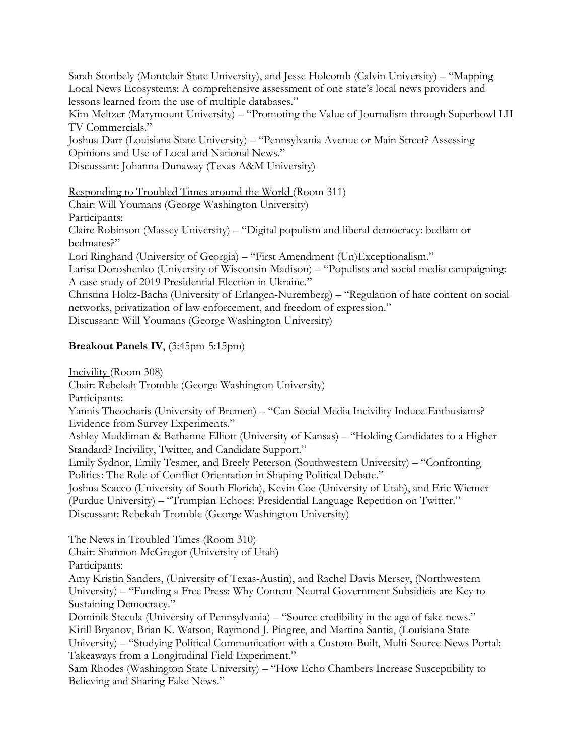Sarah Stonbely (Montclair State University), and Jesse Holcomb (Calvin University) – "Mapping Local News Ecosystems: A comprehensive assessment of one state's local news providers and lessons learned from the use of multiple databases."

Kim Meltzer (Marymount University) – "Promoting the Value of Journalism through Superbowl LII TV Commercials."

Joshua Darr (Louisiana State University) – "Pennsylvania Avenue or Main Street? Assessing Opinions and Use of Local and National News."

Discussant: Johanna Dunaway (Texas A&M University)

# Responding to Troubled Times around the World (Room 311)

Chair: Will Youmans (George Washington University)

Participants:

Claire Robinson (Massey University) – "Digital populism and liberal democracy: bedlam or bedmates?"

Lori Ringhand (University of Georgia) – "First Amendment (Un)Exceptionalism."

Larisa Doroshenko (University of Wisconsin-Madison) – "Populists and social media campaigning: A case study of 2019 Presidential Election in Ukraine."

Christina Holtz-Bacha (University of Erlangen-Nuremberg) – "Regulation of hate content on social networks, privatization of law enforcement, and freedom of expression."

Discussant: Will Youmans (George Washington University)

# **Breakout Panels IV**, (3:45pm-5:15pm)

Incivility (Room 308)

Chair: Rebekah Tromble (George Washington University)

Participants:

Yannis Theocharis (University of Bremen) – "Can Social Media Incivility Induce Enthusiams? Evidence from Survey Experiments."

Ashley Muddiman & Bethanne Elliott (University of Kansas) – "Holding Candidates to a Higher Standard? Incivility, Twitter, and Candidate Support."

Emily Sydnor, Emily Tesmer, and Breely Peterson (Southwestern University) – "Confronting Politics: The Role of Conflict Orientation in Shaping Political Debate."

Joshua Scacco (University of South Florida), Kevin Coe (University of Utah), and Eric Wiemer (Purdue University) – "Trumpian Echoes: Presidential Language Repetition on Twitter." Discussant: Rebekah Tromble (George Washington University)

The News in Troubled Times (Room 310)

Chair: Shannon McGregor (University of Utah)

Participants:

Amy Kristin Sanders, (University of Texas-Austin), and Rachel Davis Mersey, (Northwestern University) – "Funding a Free Press: Why Content-Neutral Government Subsidieis are Key to Sustaining Democracy."

Dominik Stecula (University of Pennsylvania) – "Source credibility in the age of fake news." Kirill Bryanov, Brian K. Watson, Raymond J. Pingree, and Martina Santia, (Louisiana State University) – "Studying Political Communication with a Custom-Built, Multi-Source News Portal: Takeaways from a Longitudinal Field Experiment."

Sam Rhodes (Washington State University) – "How Echo Chambers Increase Susceptibility to Believing and Sharing Fake News."